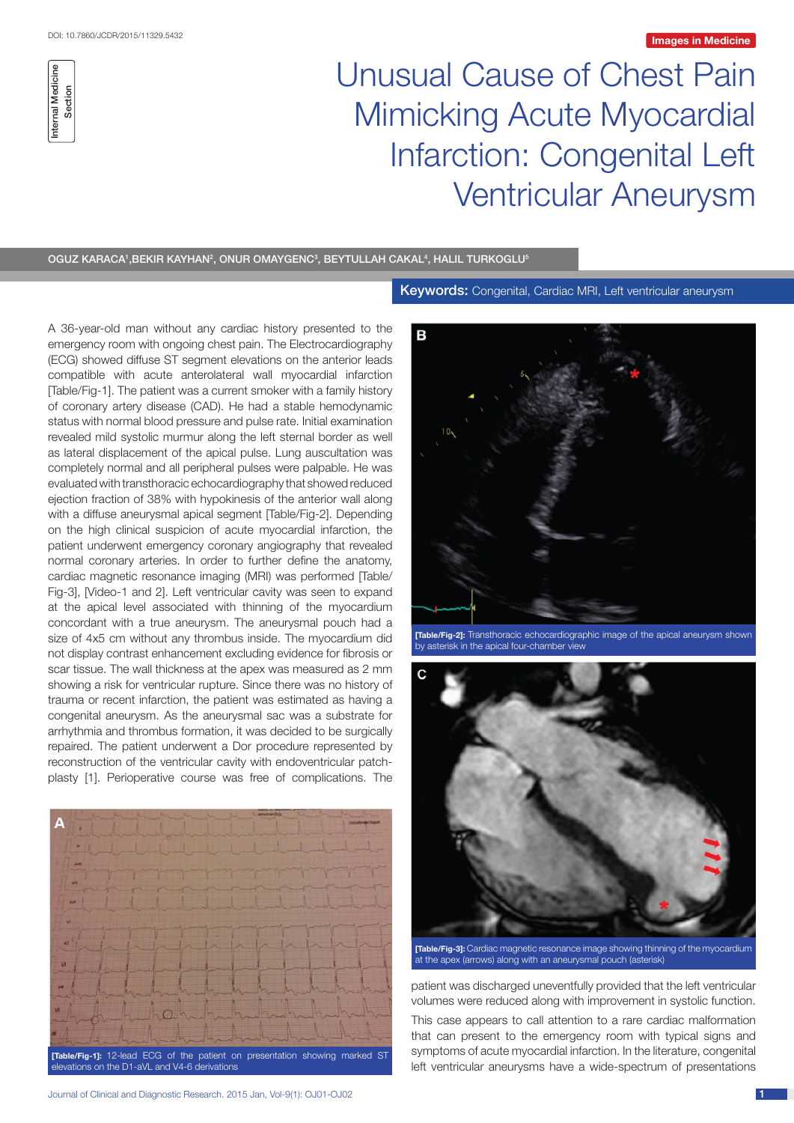# Unusual Cause of Chest Pain Mimicking Acute Myocardial Infarction: Congenital Left Ventricular Aneurysm

OGUZ KARACA',BEKIR KAYHAN<sup>2</sup>, ONUR OMAYGENC<sup>3</sup>, BEYTULLAH CAKAL<sup>4</sup>, HALIL TURKOGLU<sup>5</sup>

A 36-year-old man without any cardiac history presented to the emergency room with ongoing chest pain. The Electrocardiography (ECG) showed diffuse ST segment elevations on the anterior leads compatible with acute anterolateral wall myocardial infarction [Table/Fig-1]. The patient was a current smoker with a family history of coronary artery disease (CAD). He had a stable hemodynamic status with normal blood pressure and pulse rate. Initial examination revealed mild systolic murmur along the left sternal border as well as lateral displacement of the apical pulse. Lung auscultation was completely normal and all peripheral pulses were palpable. He was evaluated with transthoracic echocardiography that showed reduced ejection fraction of 38% with hypokinesis of the anterior wall along with a diffuse aneurysmal apical segment [Table/Fig-2]. Depending on the high clinical suspicion of acute myocardial infarction, the patient underwent emergency coronary angiography that revealed normal coronary arteries. In order to further define the anatomy, cardiac magnetic resonance imaging (MRI) was performed [Table/ Fig-3], [Video-1 and 2]. Left ventricular cavity was seen to expand at the apical level associated with thinning of the myocardium concordant with a true aneurysm. The aneurysmal pouch had a size of 4x5 cm without any thrombus inside. The myocardium did not display contrast enhancement excluding evidence for fibrosis or scar tissue. The wall thickness at the apex was measured as 2 mm showing a risk for ventricular rupture. Since there was no history of trauma or recent infarction, the patient was estimated as having a congenital aneurysm. As the aneurysmal sac was a substrate for arrhythmia and thrombus formation, it was decided to be surgically repaired. The patient underwent a Dor procedure represented by reconstruction of the ventricular cavity with endoventricular patch-**Example 19**<br> **Example 2018**<br> **Example 2018**<br> **Example 2018**<br> **Example 2018**<br> **Example 2018**<br> **Example 2019**<br> **Example 2019**<br> **Example 2019**<br> **Example 2019**<br> **Example 2019**<br> **Example 2019**<br> **Example 2019**<br> **Example 2019**<br>



evations on the D1-aVL and V4-6 derivations

Journal of Clinical and Diagnostic Research. 2015 Jan, Vol-9(1): OJ01-OJ02 1

Keywords: Congenital, Cardiac MRI, Left ventricular aneurysm



**[Table/Fig-2]:** Transthoracic echocardiographic image of the apical aneurysm shown by asterisk in the apical four-chamber view



patient was discharged uneventfully provided that the left ventricular volumes were reduced along with improvement in systolic function.

This case appears to call attention to a rare cardiac malformation that can present to the emergency room with typical signs and symptoms of acute myocardial infarction. In the literature, congenital left ventricular aneurysms have a wide-spectrum of presentations